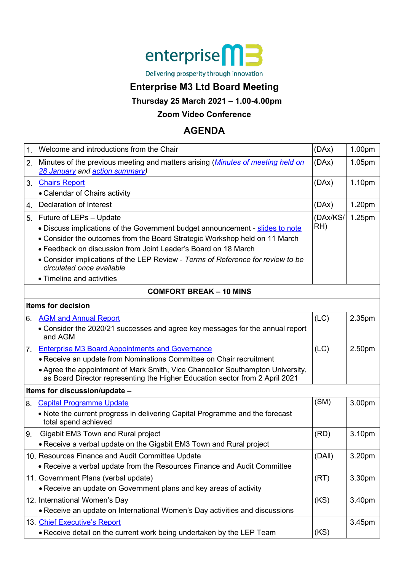

Delivering prosperity through innovation

## **Enterprise M3 Ltd Board Meeting**

**Thursday 25 March 2021 – 1.00-4.00pm**

### **Zoom Video Conference**

# **AGENDA**

| $\mathbf 1$ | Welcome and introductions from the Chair                                                                                                                                                                                                                                                                                                                               | (DAx)           | 1.00pm |  |  |
|-------------|------------------------------------------------------------------------------------------------------------------------------------------------------------------------------------------------------------------------------------------------------------------------------------------------------------------------------------------------------------------------|-----------------|--------|--|--|
| 2.          | Minutes of the previous meeting and matters arising ( <i>Minutes of meeting held on</i><br>28 January and action summary)                                                                                                                                                                                                                                              | (DAx)           | 1.05pm |  |  |
| 3.          | <b>Chairs Report</b>                                                                                                                                                                                                                                                                                                                                                   | (DAx)           | 1.10pm |  |  |
|             | • Calendar of Chairs activity                                                                                                                                                                                                                                                                                                                                          |                 |        |  |  |
| 4.          | Declaration of Interest                                                                                                                                                                                                                                                                                                                                                | (DAx)           | 1.20pm |  |  |
| 5.          | Future of LEPs - Update<br>• Discuss implications of the Government budget announcement - slides to note<br>• Consider the outcomes from the Board Strategic Workshop held on 11 March<br>Feedback on discussion from Joint Leader's Board on 18 March<br>• Consider implications of the LEP Review - Terms of Reference for review to be<br>circulated once available | (DAx/KS/<br>RH) | 1.25pm |  |  |
|             | • Timeline and activities<br><b>COMFORT BREAK - 10 MINS</b>                                                                                                                                                                                                                                                                                                            |                 |        |  |  |
|             |                                                                                                                                                                                                                                                                                                                                                                        |                 |        |  |  |
|             | Items for decision                                                                                                                                                                                                                                                                                                                                                     |                 |        |  |  |
| 6.          | <b>AGM and Annual Report</b><br>• Consider the 2020/21 successes and agree key messages for the annual report<br>and AGM                                                                                                                                                                                                                                               | (LC)            | 2.35pm |  |  |
| 7.          | <b>Enterprise M3 Board Appointments and Governance</b>                                                                                                                                                                                                                                                                                                                 | (LC)            | 2.50pm |  |  |
|             | • Receive an update from Nominations Committee on Chair recruitment                                                                                                                                                                                                                                                                                                    |                 |        |  |  |
|             | • Agree the appointment of Mark Smith, Vice Chancellor Southampton University,<br>as Board Director representing the Higher Education sector from 2 April 2021                                                                                                                                                                                                         |                 |        |  |  |
|             | Items for discussion/update -                                                                                                                                                                                                                                                                                                                                          |                 |        |  |  |
| 8.          | <b>Capital Programme Update</b><br>• Note the current progress in delivering Capital Programme and the forecast                                                                                                                                                                                                                                                        | (SM)            | 3.00pm |  |  |
|             | total spend achieved                                                                                                                                                                                                                                                                                                                                                   |                 |        |  |  |
| 9.          | Gigabit EM3 Town and Rural project                                                                                                                                                                                                                                                                                                                                     | (RD)            | 3.10pm |  |  |
|             | • Receive a verbal update on the Gigabit EM3 Town and Rural project                                                                                                                                                                                                                                                                                                    |                 |        |  |  |
|             | 10. Resources Finance and Audit Committee Update                                                                                                                                                                                                                                                                                                                       | (DAII)          | 3.20pm |  |  |
|             | • Receive a verbal update from the Resources Finance and Audit Committee                                                                                                                                                                                                                                                                                               |                 |        |  |  |
|             | 11. Government Plans (verbal update)                                                                                                                                                                                                                                                                                                                                   | (RT)            | 3.30pm |  |  |
|             | • Receive an update on Government plans and key areas of activity                                                                                                                                                                                                                                                                                                      |                 |        |  |  |
|             | 12. International Women's Day<br>• Receive an update on International Women's Day activities and discussions                                                                                                                                                                                                                                                           | (KS)            | 3.40pm |  |  |
|             |                                                                                                                                                                                                                                                                                                                                                                        |                 |        |  |  |
|             | 13. Chief Executive's Report<br>• Receive detail on the current work being undertaken by the LEP Team                                                                                                                                                                                                                                                                  | (KS)            | 3.45pm |  |  |